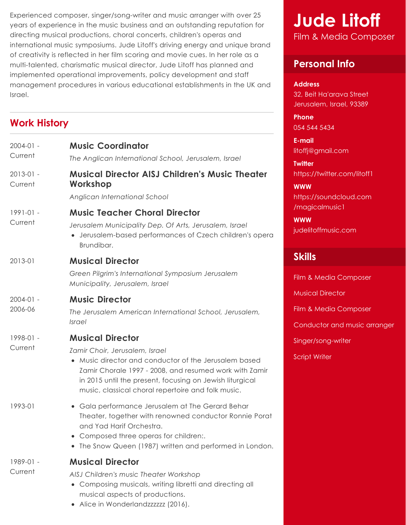Experienced composer, singer/song-writer and music arranger with over 25 years of experience in the music business and an outstanding reputation for directing musical productions, choral concerts, children's operas and international music symposiums. Jude Litoff's driving energy and unique brand of creativity is reflected in her film scoring and movie cues. In her role as a multi-talented, charismatic musical director, Jude Litoff has planned and implemented operational improvements, policy development and staff management procedures in various educational establishments in the UK and Israel.

### **Work History**

| $2004 - 01 -$<br>Current | <b>Music Coordinator</b><br>The Anglican International School, Jerusalem, Israel                                                                                                                                                                                                                          |
|--------------------------|-----------------------------------------------------------------------------------------------------------------------------------------------------------------------------------------------------------------------------------------------------------------------------------------------------------|
| $2013 - 01 -$<br>Current | <b>Musical Director AISJ Children's Music Theater</b><br>Workshop<br>Anglican International School                                                                                                                                                                                                        |
| $1991 - 01 -$<br>Current | <b>Music Teacher Choral Director</b><br>Jerusalem Municipality Dep. Of Arts, Jerusalem, Israel<br>Jerusalem-based performances of Czech children's opera<br>Brundibar.                                                                                                                                    |
| 2013-01                  | <b>Musical Director</b><br>Green Pilgrim's International Symposium Jerusalem<br>Municipality, Jerusalem, Israel                                                                                                                                                                                           |
| $2004 - 01 -$<br>2006-06 | <b>Music Director</b><br>The Jerusalem American International School, Jerusalem,<br><i>Israel</i>                                                                                                                                                                                                         |
| 1998-01 -<br>Current     | <b>Musical Director</b><br>Zamir Choir, Jerusalem, Israel<br>Music director and conductor of the Jerusalem based<br>$\bullet$<br>Zamir Chorale 1997 - 2008, and resumed work with Zamir<br>in 2015 until the present, focusing on Jewish liturgical<br>music, classical choral repertoire and folk music. |
| 1993-01                  | Gala performance Jerusalem at The Gerard Behar<br>$\bullet$<br>Theater, together with renowned conductor Ronnie Porat<br>and Yad Harif Orchestra.<br>Composed three operas for children:.<br>The Snow Queen (1987) written and performed in London.                                                       |
| 1989-01 -<br>Current     | <b>Musical Director</b><br>AISJ Children's music Theater Workshop<br>Composing musicals, writing libretti and directing all<br>musical aspects of productions.<br>Alice in Wonderlandzzzzzzz (2016).                                                                                                      |

# Film & Media Composer **Jude Litoff**

#### **Personal Info**

#### **Address**

32, Beit Ha'arava Street Jerusalem, Israel, 93389

**Phone** 054 544 5434

**E-mail** litoffj@gmail.com

**Twitter** https://twitter.com/litoff1

**WWW** https://soundcloud.com /magicalmusic1

**WWW** judelitoffmusic.com

#### **Skills**

Film & Media Composer Musical Director Film & Media Composer Conductor and music arranger Singer/song-writer Script Writer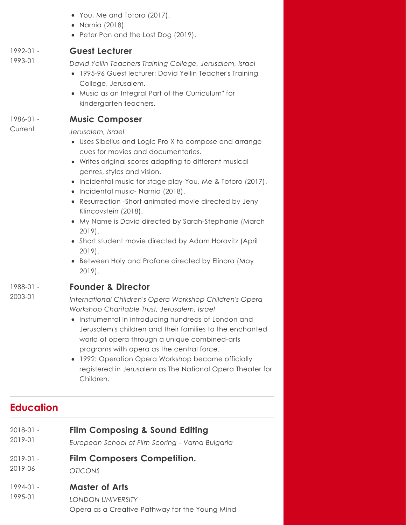- You, Me and Totoro (2017).
- Narnia (2018).
- Peter Pan and the Lost Dog (2019).

**Guest Lecturer** 1992-01 -

1993-01

*David Yellin Teachers Training College, Jerusalem, Israel*

- 1995-96 Guest lecturer: David Yellin Teacher's Training College, Jerusalem.
- Music as an Integral Part of the Curriculum" for kindergarten teachers.

#### **Music Composer** 1986-01 -

**Current** 

*Jerusalem, Israel*

- Uses Sibelius and Logic Pro X to compose and arrange cues for movies and documentaries.
- Writes original scores adapting to different musical genres, styles and vision.
- Incidental music for stage play-You, Me & Totoro (2017).
- Incidental music- Narnia (2018).
- Resurrection -Short animated movie directed by Jeny Klincovstein (2018).
- My Name is David directed by Sarah-Stephanie (March 2019).
- Short student movie directed by Adam Horovitz (April 2019).
- Between Holy and Profane directed by Elinora (May 2019).

1988-01 - 2003-01

#### **Founder & Director**

*International Children's Opera Workshop Children's Opera Workshop Charitable Trust, Jerusalem, Israel*

- Instrumental in introducing hundreds of London and Jerusalem's children and their families to the enchanted world of opera through a unique combined-arts programs with opera as the central force.
- 1992: Operation Opera Workshop became officially registered in Jerusalem as The National Opera Theater for Children.

## **Education**

| $2018 - 01 -$ | <b>Film Composing &amp; Sound Editing</b>        |
|---------------|--------------------------------------------------|
| 2019-01       | European School of Film Scoring - Varna Bulgaria |
| $2019 - 01 -$ | <b>Film Composers Competition.</b>               |
| 2019-06       | <b>OTICONS</b>                                   |
| 1994-01 -     | <b>Master of Arts</b>                            |

*LONDON UNIVERSITY* Opera as a Creative Pathway for the Young Mind 1995-01